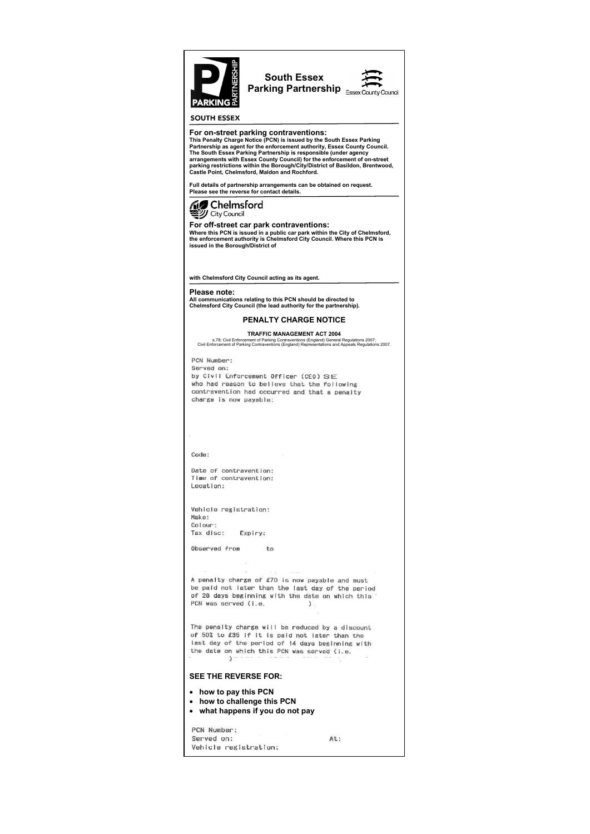

# **SOUTH ESSEX**

## **For on-street parking contraventions:**

**This Penalty Charge Notice (PCN) is issued by the South Essex Parking Partnership as agent for the enforcement authority, Essex County Council. The South Essex Parking Partnership is responsible (under agency arrangements with Essex County Council) for the enforcement of on-street parking restrictions within the Borough/City/District of Basildon, Brentwood, Castle Point, Chelmsford, Maldon and Rochford.**

**Full details of partnership arrangements can be obtained on request. Please see the reverse for contact details.**



**For off-street car park contraventions:**

**Where this PCN is issued in a public car park within the City of Chelmsford, the enforcement authority is Chelmsford City Council. Where this PCN is issued in the Borough/District of**

**with Chelmsford City Council acting as its agent.**

# **Please note:**

**All communications relating to this PCN should be directed to Chelmsford City Council (the lead authority for the partnership).**

# **PENALTY CHARGE NOTICE**

### **TRAFFIC MANAGEMENT ACT 2004**

s.78; Civil Enforcement of Parking Contraventions (England) General Regulations 2007; Civil Enforcement of Parking Contraventions (England) Representations and Appeals Regulations 2007.

PCN Number: Served on: by Civil Enforcement Officer (CEO) SE who had reason to believe that the following contravention had occurred and that a penalty charge is now payable:

## Code:

Date of contravention: Time of contravention: Location:

Vehicle registration: Make: Colour: Tax disc: Expiry:

Observed from to

#### $\sim$   $\mu$  $\sim$   $\sim$ A penalty charge of £70 is now payable and must be paid not later than the last day of the period of 28 days beginning with the date on which this PCN was served (i.e.  $\sum$

The penalty charge will be reduced by a discount

of 50% to £35 if it is paid not later than the last day of the period of 14 days beginning with the date on which this PCN was served (i.e.  $\mathcal{Y}$ 

# **SEE THE REVERSE FOR:**

- **how to pay this PCN**
- **how to challenge this PCN**
- **what happens if you do not pay**

PCN Number: Served on: At: Vehicle registration: